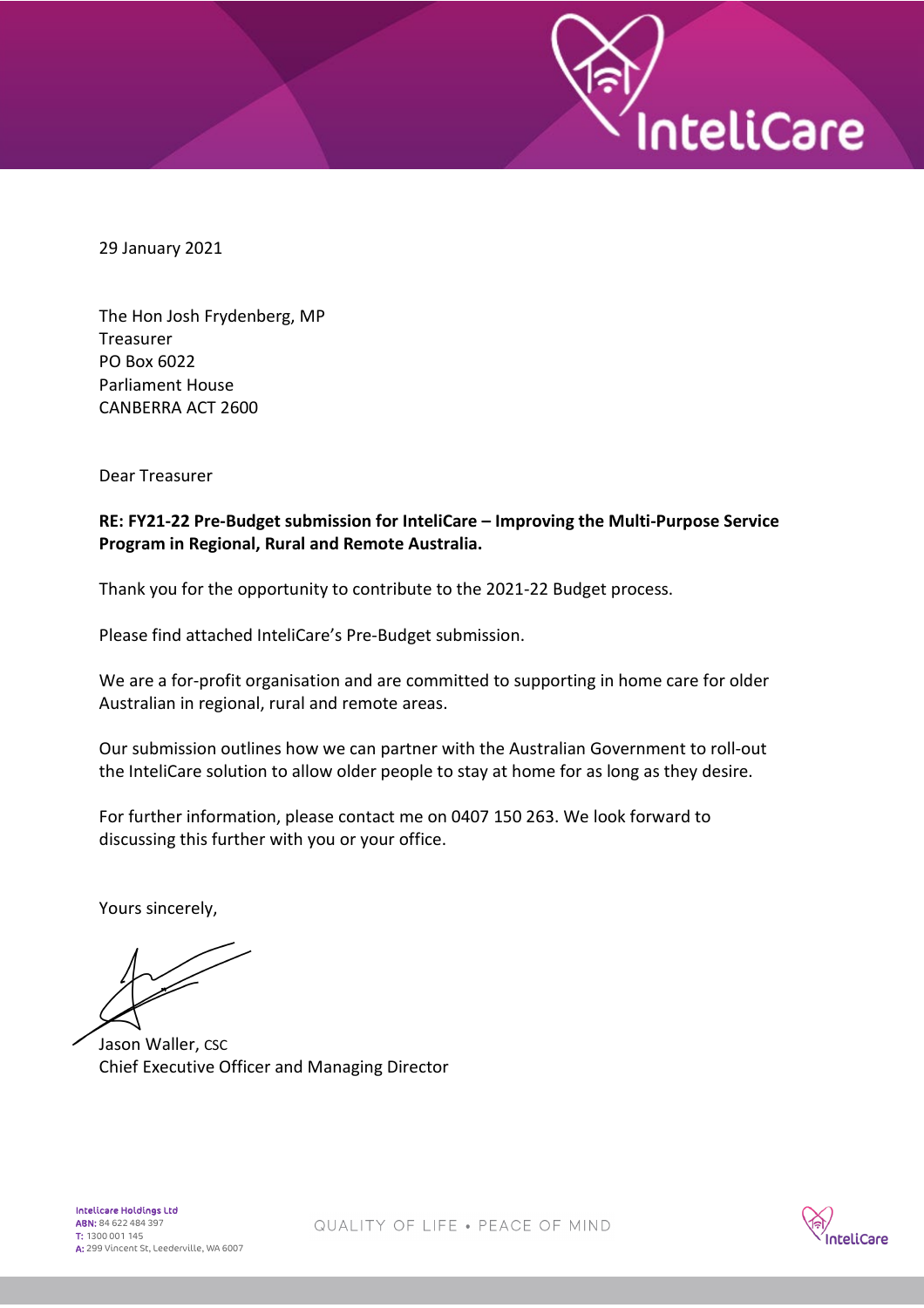29 January 2021

The Hon Josh Frydenberg, MP **Treasurer** PO Box 6022 Parliament House CANBERRA ACT 2600

Dear Treasurer

## **RE: FY21-22 Pre-Budget submission for InteliCare – Improving the Multi-Purpose Service Program in Regional, Rural and Remote Australia.**

Thank you for the opportunity to contribute to the 2021-22 Budget process.

Please find attached InteliCare's Pre-Budget submission.

We are a for-profit organisation and are committed to supporting in home care for older Australian in regional, rural and remote areas.

Our submission outlines how we can partner with the Australian Government to roll-out the InteliCare solution to allow older people to stay at home for as long as they desire.

For further information, please contact me on 0407 150 263. We look forward to discussing this further with you or your office.

Yours sincerely,

Jason Waller, CSC Chief Executive Officer and Managing Director



**InteliCare**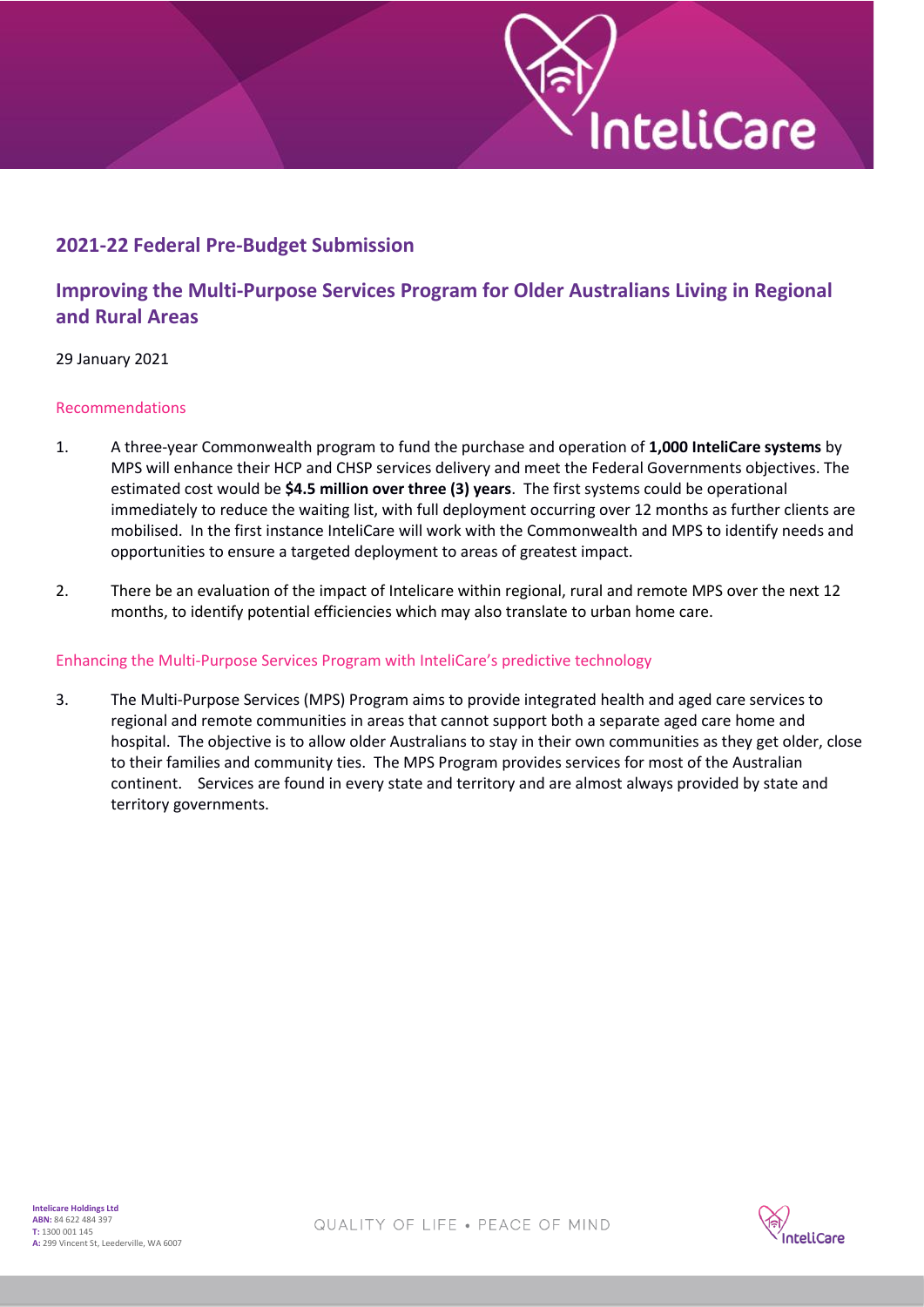

## **2021-22 Federal Pre-Budget Submission**

# **Improving the Multi-Purpose Services Program for Older Australians Living in Regional and Rural Areas**

#### 29 January 2021

#### Recommendations

- 1. A three-year Commonwealth program to fund the purchase and operation of **1,000 InteliCare systems** by MPS will enhance their HCP and CHSP services delivery and meet the Federal Governments objectives. The estimated cost would be **\$4.5 million over three (3) years**. The first systems could be operational immediately to reduce the waiting list, with full deployment occurring over 12 months as further clients are mobilised. In the first instance InteliCare will work with the Commonwealth and MPS to identify needs and opportunities to ensure a targeted deployment to areas of greatest impact.
- 2. There be an evaluation of the impact of Intelicare within regional, rural and remote MPS over the next 12 months, to identify potential efficiencies which may also translate to urban home care.

#### Enhancing the Multi-Purpose Services Program with InteliCare's predictive technology

3. The Multi-Purpose Services (MPS) Program aims to provide integrated health and aged care services to regional and remote communities in areas that cannot support both a separate aged care home and hospital. The objective is to allow older Australians to stay in their own communities as they get older, close to their families and community ties. The MPS Program provides services for most of the Australian continent. Services are found in every state and territory and are almost always provided by state and territory governments.

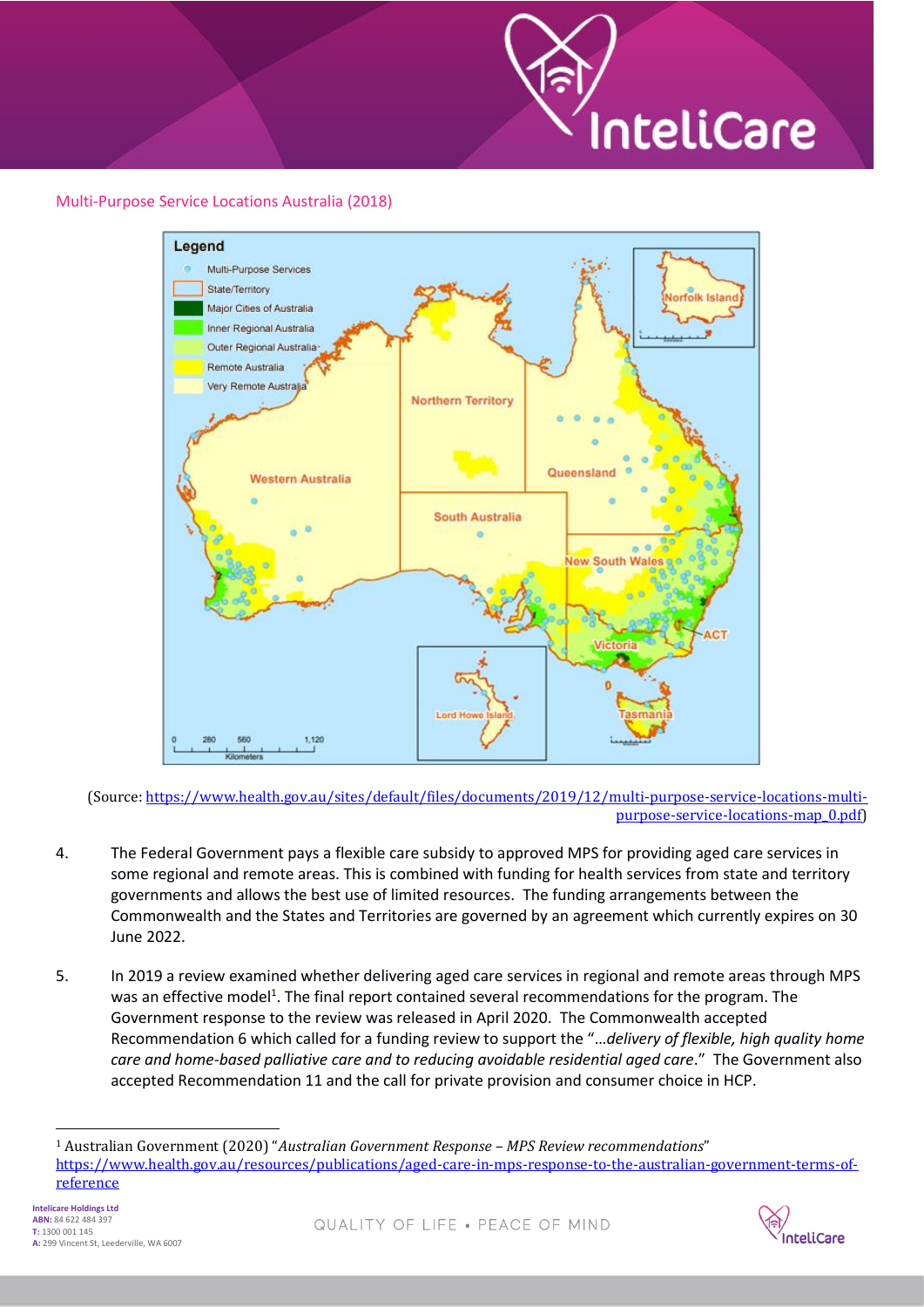

### Multi-Purpose Service Locations Australia (2018)



(Source[: https://www.health.gov.au/sites/default/files/documents/2019/12/multi-purpose-service-locations-multi](https://www.health.gov.au/sites/default/files/documents/2019/12/multi-purpose-service-locations-multi-purpose-service-locations-map_0.pdf)[purpose-service-locations-map\\_0.pdf\)](https://www.health.gov.au/sites/default/files/documents/2019/12/multi-purpose-service-locations-multi-purpose-service-locations-map_0.pdf)

- 4. The Federal Government pays a flexible care subsidy to approved MPS for providing aged care services in some regional and remote areas. This is combined with funding for health services from state and territory governments and allows the best use of limited resources. The funding arrangements between the Commonwealth and the States and Territories are governed by an agreement which currently expires on 30 June 2022.
- 5. In 2019 a review examined whether delivering aged care services in regional and remote areas through MPS was an effective model<sup>1</sup>. The final report contained several recommendations for the program. The Government response to the review was released in April 2020. The Commonwealth accepted Recommendation 6 which called for a funding review to support the "…*delivery of flexible, high quality home care and home-based palliative care and to reducing avoidable residential aged care*." The Government also accepted Recommendation 11 and the call for private provision and consumer choice in HCP.

<sup>1</sup> Australian Government (2020) "*Australian Government Response – MPS Review recommendations*" [https://www.health.gov.au/resources/publications/aged-care-in-mps-response-to-the-australian-government-terms-of](https://www.health.gov.au/resources/publications/aged-care-in-mps-response-to-the-australian-government-terms-of-reference)[reference](https://www.health.gov.au/resources/publications/aged-care-in-mps-response-to-the-australian-government-terms-of-reference)

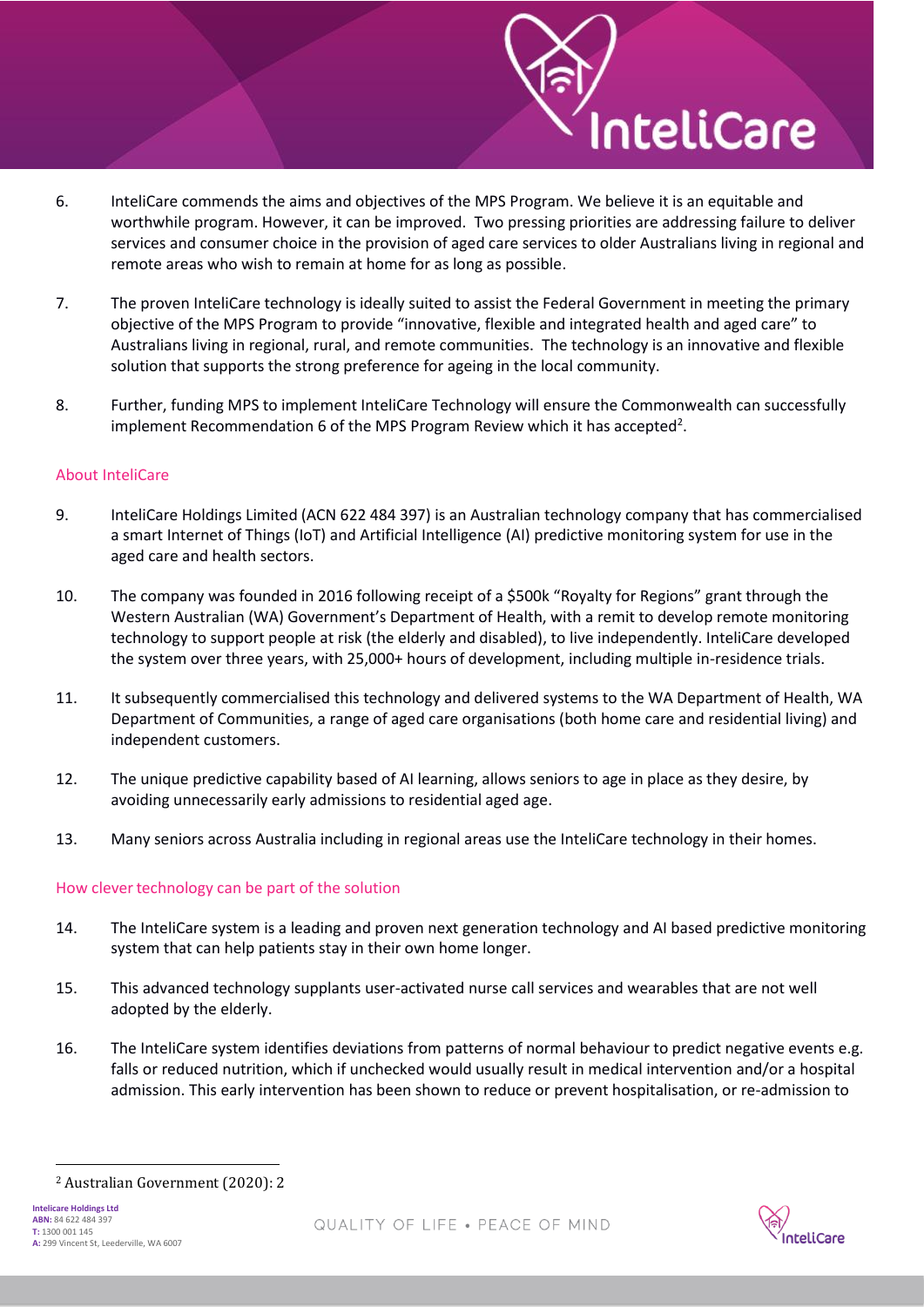6. InteliCare commends the aims and objectives of the MPS Program. We believe it is an equitable and worthwhile program. However, it can be improved. Two pressing priorities are addressing failure to deliver services and consumer choice in the provision of aged care services to older Australians living in regional and remote areas who wish to remain at home for as long as possible.

nteliCare

- 7. The proven InteliCare technology is ideally suited to assist the Federal Government in meeting the primary objective of the MPS Program to provide "innovative, flexible and integrated health and aged care" to Australians living in regional, rural, and remote communities. The technology is an innovative and flexible solution that supports the strong preference for ageing in the local community.
- 8. Further, funding MPS to implement InteliCare Technology will ensure the Commonwealth can successfully implement Recommendation 6 of the MPS Program Review which it has accepted<sup>2</sup>.

#### About InteliCare

- 9. InteliCare Holdings Limited (ACN 622 484 397) is an Australian technology company that has commercialised a smart Internet of Things (IoT) and Artificial Intelligence (AI) predictive monitoring system for use in the aged care and health sectors.
- 10. The company was founded in 2016 following receipt of a \$500k "Royalty for Regions" grant through the Western Australian (WA) Government's Department of Health, with a remit to develop remote monitoring technology to support people at risk (the elderly and disabled), to live independently. InteliCare developed the system over three years, with 25,000+ hours of development, including multiple in-residence trials.
- 11. It subsequently commercialised this technology and delivered systems to the WA Department of Health, WA Department of Communities, a range of aged care organisations (both home care and residential living) and independent customers.
- 12. The unique predictive capability based of AI learning, allows seniors to age in place as they desire, by avoiding unnecessarily early admissions to residential aged age.
- 13. Many seniors across Australia including in regional areas use the InteliCare technology in their homes.

#### How clever technology can be part of the solution

- 14. The InteliCare system is a leading and proven next generation technology and AI based predictive monitoring system that can help patients stay in their own home longer.
- 15. This advanced technology supplants user-activated nurse call services and wearables that are not well adopted by the elderly.
- 16. The InteliCare system identifies deviations from patterns of normal behaviour to predict negative events e.g. falls or reduced nutrition, which if unchecked would usually result in medical intervention and/or a hospital admission. This early intervention has been shown to reduce or prevent hospitalisation, or re-admission to



<sup>2</sup> Australian Government (2020): 2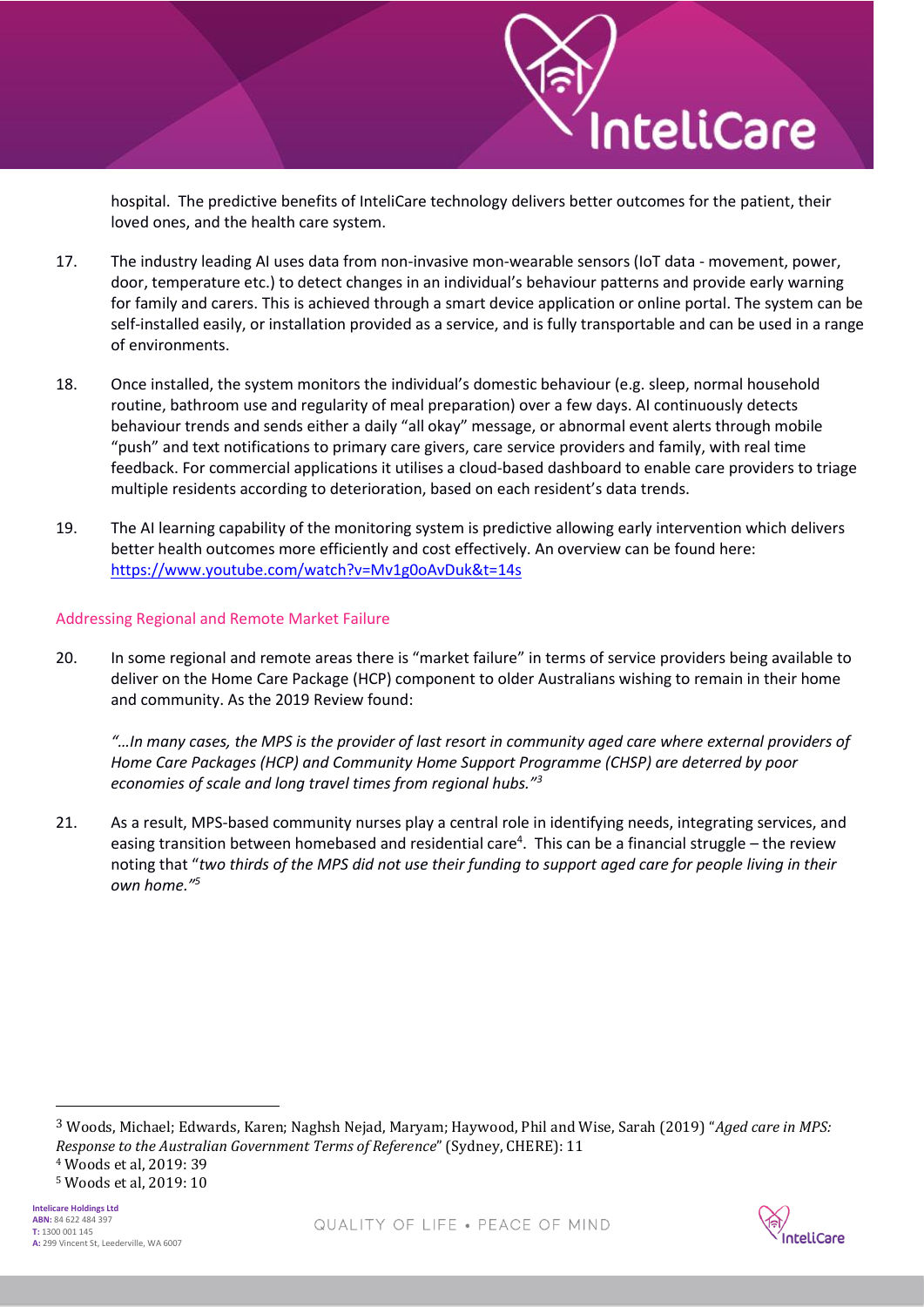hospital. The predictive benefits of InteliCare technology delivers better outcomes for the patient, their loved ones, and the health care system.

nteliCare

- 17. The industry leading AI uses data from non-invasive mon-wearable sensors (IoT data movement, power, door, temperature etc.) to detect changes in an individual's behaviour patterns and provide early warning for family and carers. This is achieved through a smart device application or online portal. The system can be self-installed easily, or installation provided as a service, and is fully transportable and can be used in a range of environments.
- 18. Once installed, the system monitors the individual's domestic behaviour (e.g. sleep, normal household routine, bathroom use and regularity of meal preparation) over a few days. AI continuously detects behaviour trends and sends either a daily "all okay" message, or abnormal event alerts through mobile "push" and text notifications to primary care givers, care service providers and family, with real time feedback. For commercial applications it utilises a cloud-based dashboard to enable care providers to triage multiple residents according to deterioration, based on each resident's data trends.
- 19. The AI learning capability of the monitoring system is predictive allowing early intervention which delivers better health outcomes more efficiently and cost effectively. An overview can be found here: <https://www.youtube.com/watch?v=Mv1g0oAvDuk&t=14s>

#### Addressing Regional and Remote Market Failure

20. In some regional and remote areas there is "market failure" in terms of service providers being available to deliver on the Home Care Package (HCP) component to older Australians wishing to remain in their home and community. As the 2019 Review found:

*"…In many cases, the MPS is the provider of last resort in community aged care where external providers of Home Care Packages (HCP) and Community Home Support Programme (CHSP) are deterred by poor economies of scale and long travel times from regional hubs."<sup>3</sup>*

21. As a result, MPS-based community nurses play a central role in identifying needs, integrating services, and easing transition between homebased and residential care<sup>4</sup>. This can be a financial struggle – the review noting that "*two thirds of the MPS did not use their funding to support aged care for people living in their own home."<sup>5</sup>*

3 Woods, Michael; Edwards, Karen; Naghsh Nejad, Maryam; Haywood, Phil and Wise, Sarah (2019) "*Aged care in MPS: Response to the Australian Government Terms of Reference*" (Sydney, CHERE): 11

<sup>4</sup> Woods et al, 2019: 39

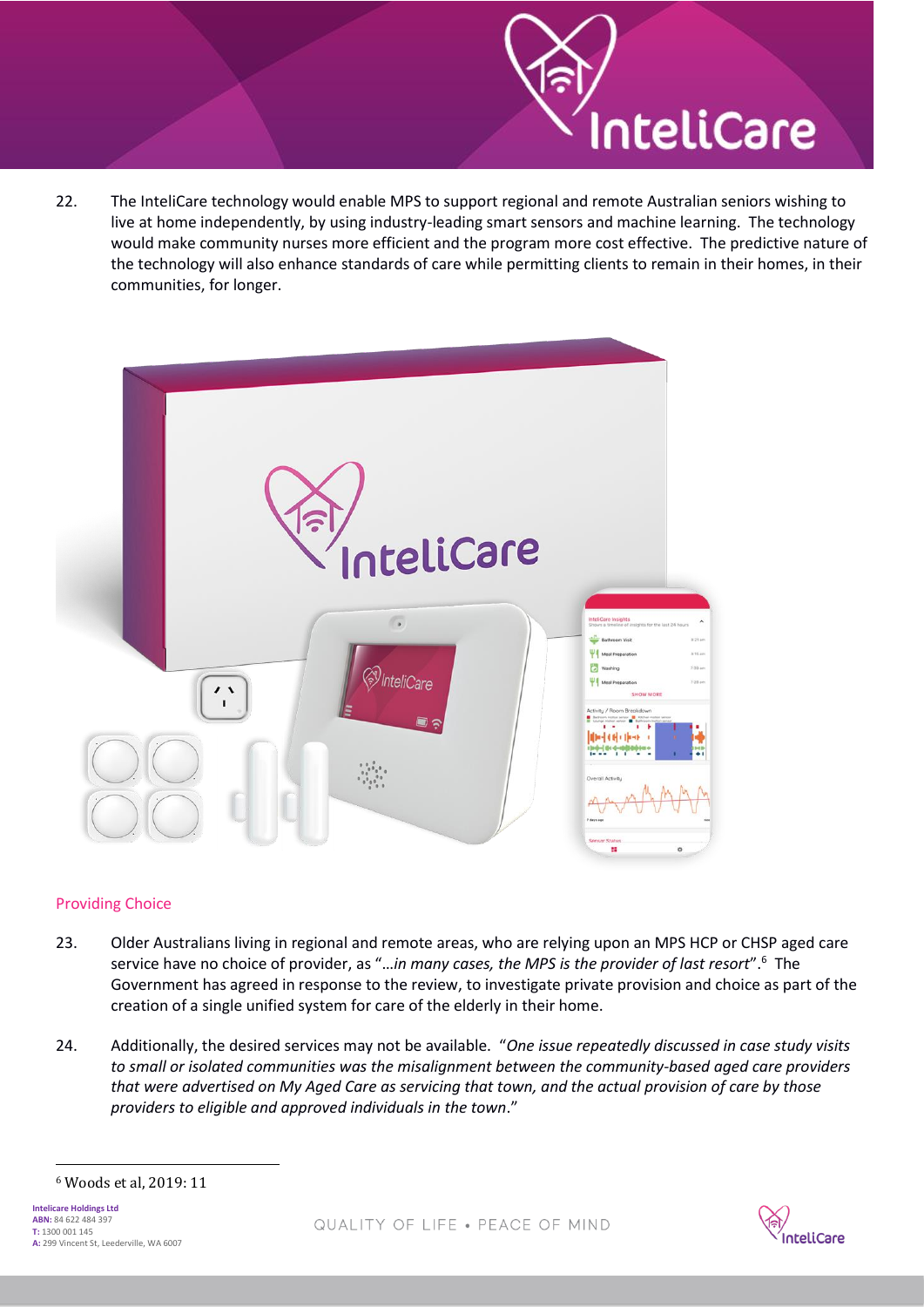22. The InteliCare technology would enable MPS to support regional and remote Australian seniors wishing to live at home independently, by using industry-leading smart sensors and machine learning. The technology would make community nurses more efficient and the program more cost effective. The predictive nature of the technology will also enhance standards of care while permitting clients to remain in their homes, in their communities, for longer.

nteliCare



#### Providing Choice

- 23. Older Australians living in regional and remote areas, who are relying upon an MPS HCP or CHSP aged care service have no choice of provider, as "…*in many cases, the MPS is the provider of last resort*".<sup>6</sup> The Government has agreed in response to the review, to investigate private provision and choice as part of the creation of a single unified system for care of the elderly in their home.
- 24. Additionally, the desired services may not be available. "*One issue repeatedly discussed in case study visits to small or isolated communities was the misalignment between the community-based aged care providers that were advertised on My Aged Care as servicing that town, and the actual provision of care by those providers to eligible and approved individuals in the town*."



<sup>6</sup> Woods et al, 2019: 11